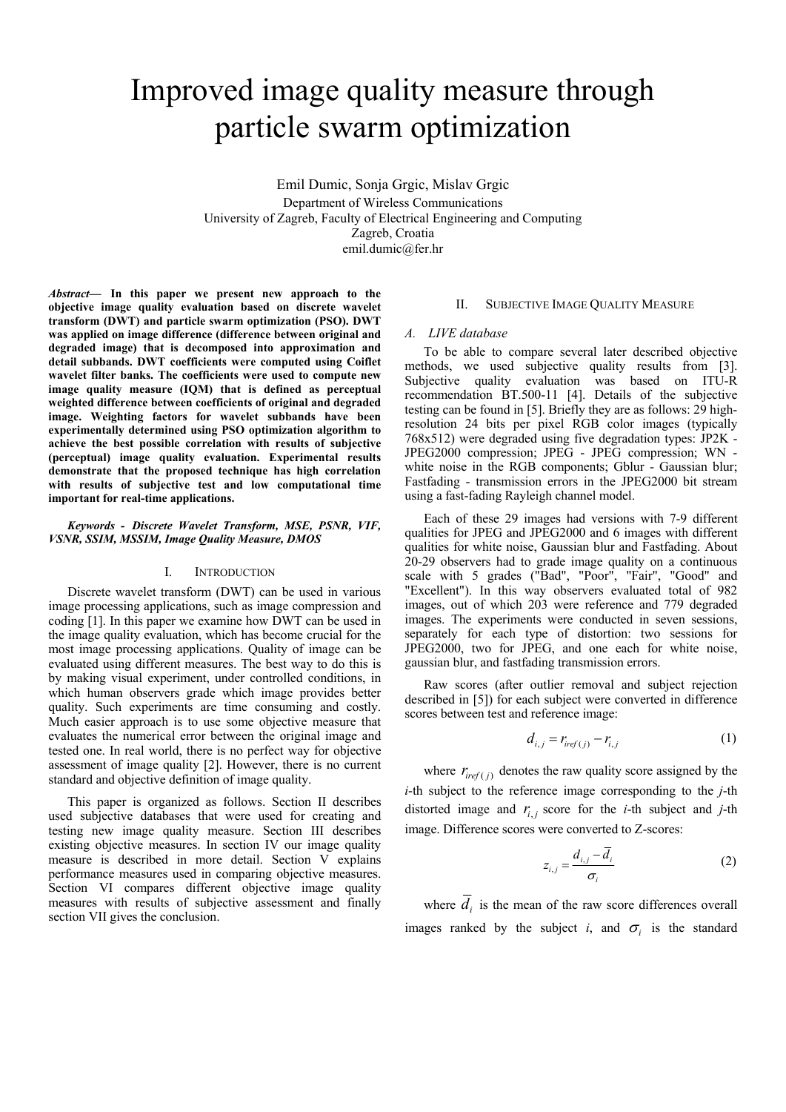# Improved image quality measure through particle swarm optimization

Emil Dumic, Sonja Grgic, Mislav Grgic Department of Wireless Communications University of Zagreb, Faculty of Electrical Engineering and Computing Zagreb, Croatia emil.dumic@fer.hr

*Abstract***— In this paper we present new approach to the objective image quality evaluation based on discrete wavelet transform (DWT) and particle swarm optimization (PSO). DWT was applied on image difference (difference between original and degraded image) that is decomposed into approximation and detail subbands. DWT coefficients were computed using Coiflet wavelet filter banks. The coefficients were used to compute new image quality measure (IQM) that is defined as perceptual weighted difference between coefficients of original and degraded image. Weighting factors for wavelet subbands have been experimentally determined using PSO optimization algorithm to achieve the best possible correlation with results of subjective (perceptual) image quality evaluation. Experimental results demonstrate that the proposed technique has high correlation with results of subjective test and low computational time important for real-time applications.** 

#### *Keywords - Discrete Wavelet Transform, MSE, PSNR, VIF, VSNR, SSIM, MSSIM, Image Quality Measure, DMOS*

#### I. INTRODUCTION

Discrete wavelet transform (DWT) can be used in various image processing applications, such as image compression and coding [1]. In this paper we examine how DWT can be used in the image quality evaluation, which has become crucial for the most image processing applications. Quality of image can be evaluated using different measures. The best way to do this is by making visual experiment, under controlled conditions, in which human observers grade which image provides better quality. Such experiments are time consuming and costly. Much easier approach is to use some objective measure that evaluates the numerical error between the original image and tested one. In real world, there is no perfect way for objective assessment of image quality [2]. However, there is no current standard and objective definition of image quality.

This paper is organized as follows. Section II describes used subjective databases that were used for creating and testing new image quality measure. Section III describes existing objective measures. In section IV our image quality measure is described in more detail. Section V explains performance measures used in comparing objective measures. Section VI compares different objective image quality measures with results of subjective assessment and finally section VII gives the conclusion.

# II. SUBJECTIVE IMAGE QUALITY MEASURE

## *A. LIVE database*

To be able to compare several later described objective methods, we used subjective quality results from [3]. Subjective quality evaluation was based on ITU-R recommendation BT.500-11 [4]. Details of the subjective testing can be found in [5]. Briefly they are as follows: 29 highresolution 24 bits per pixel RGB color images (typically 768x512) were degraded using five degradation types: JP2K - JPEG2000 compression; JPEG - JPEG compression; WN white noise in the RGB components; Gblur - Gaussian blur; Fastfading - transmission errors in the JPEG2000 bit stream using a fast-fading Rayleigh channel model.

Each of these 29 images had versions with 7-9 different qualities for JPEG and JPEG2000 and 6 images with different qualities for white noise, Gaussian blur and Fastfading. About 20-29 observers had to grade image quality on a continuous scale with 5 grades ("Bad", "Poor", "Fair", "Good" and "Excellent"). In this way observers evaluated total of 982 images, out of which 203 were reference and 779 degraded images. The experiments were conducted in seven sessions, separately for each type of distortion: two sessions for JPEG2000, two for JPEG, and one each for white noise, gaussian blur, and fastfading transmission errors.

Raw scores (after outlier removal and subject rejection described in [5]) for each subject were converted in difference scores between test and reference image:

$$
d_{i,j} = r_{\text{iref}(j)} - r_{i,j} \tag{1}
$$

where  $r_{\text{iref}(i)}$  denotes the raw quality score assigned by the *i*-th subject to the reference image corresponding to the *j*-th distorted image and  $r_{i,j}$  score for the *i*-th subject and *j*-th image. Difference scores were converted to Z-scores:

$$
z_{i,j} = \frac{d_{i,j} - \overline{d}_i}{\sigma_i} \tag{2}
$$

where  $\overline{d}_i$  is the mean of the raw score differences overall images ranked by the subject *i*, and  $\sigma_i$  is the standard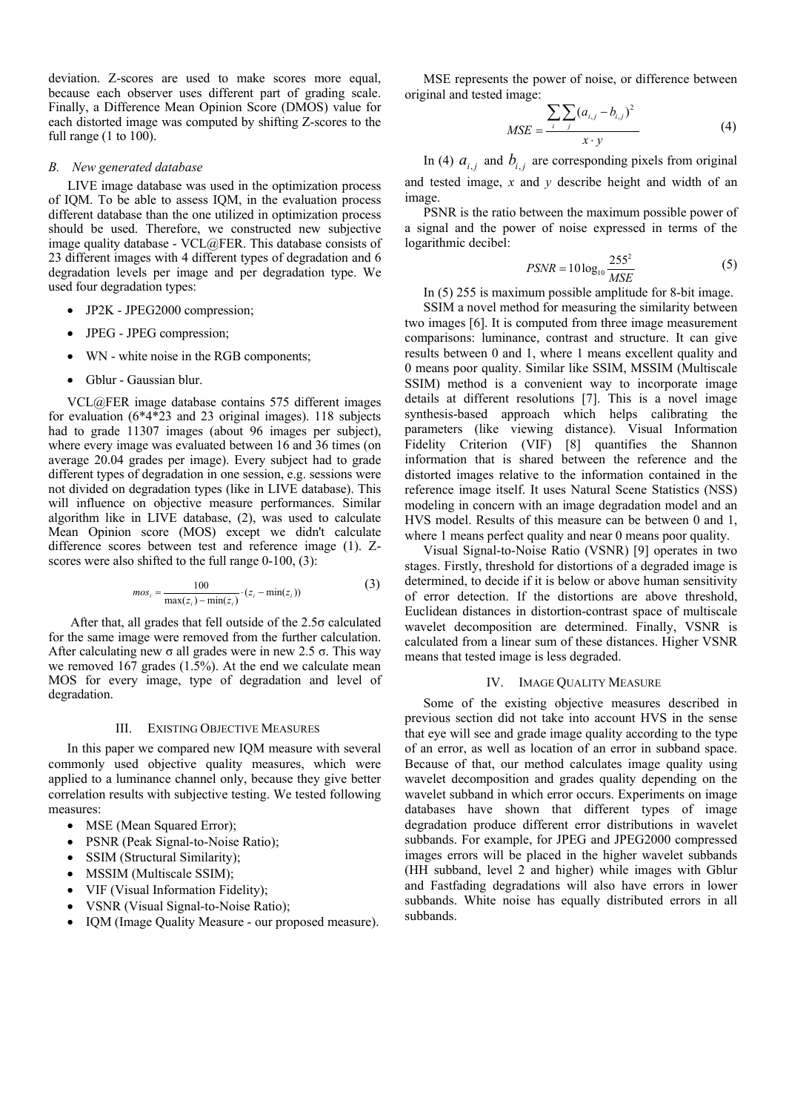deviation. Z-scores are used to make scores more equal, because each observer uses different part of grading scale. Finally, a Difference Mean Opinion Score (DMOS) value for each distorted image was computed by shifting Z-scores to the full range (1 to 100).

## *B. New generated database*

LIVE image database was used in the optimization process of IQM. To be able to assess IQM, in the evaluation process different database than the one utilized in optimization process should be used. Therefore, we constructed new subjective image quality database - VCL@FER. This database consists of 23 different images with 4 different types of degradation and 6 degradation levels per image and per degradation type. We used four degradation types:

- JP2K JPEG2000 compression;
- JPEG JPEG compression;
- WN white noise in the RGB components;
- Gblur Gaussian blur.

VCL@FER image database contains 575 different images for evaluation (6\*4\*23 and 23 original images). 118 subjects had to grade 11307 images (about 96 images per subject), where every image was evaluated between 16 and 36 times (on average 20.04 grades per image). Every subject had to grade different types of degradation in one session, e.g. sessions were not divided on degradation types (like in LIVE database). This will influence on objective measure performances. Similar algorithm like in LIVE database, (2), was used to calculate Mean Opinion score (MOS) except we didn't calculate difference scores between test and reference image (1). Zscores were also shifted to the full range 0-100, (3):

$$
mos_i = \frac{100}{\max(z_i) - \min(z_i)} \cdot (z_i - \min(z_i))
$$
 (3)

 After that, all grades that fell outside of the 2.5σ calculated for the same image were removed from the further calculation. After calculating new σ all grades were in new 2.5 σ. This way we removed 167 grades (1.5%). At the end we calculate mean MOS for every image, type of degradation and level of degradation.

#### III. EXISTING OBJECTIVE MEASURES

In this paper we compared new IQM measure with several commonly used objective quality measures, which were applied to a luminance channel only, because they give better correlation results with subjective testing. We tested following measures:

- MSE (Mean Squared Error);
- PSNR (Peak Signal-to-Noise Ratio);
- SSIM (Structural Similarity);
- MSSIM (Multiscale SSIM);
- VIF (Visual Information Fidelity);
- VSNR (Visual Signal-to-Noise Ratio);
- IQM (Image Quality Measure our proposed measure).

MSE represents the power of noise, or difference between original and tested image:

$$
MSE = \frac{\sum_{i} \sum_{j} (a_{i,j} - b_{i,j})^2}{x \cdot y}
$$
 (4)

In (4)  $a_{i,j}$  and  $b_{i,j}$  are corresponding pixels from original and tested image, *x* and *y* describe height and width of an image.

PSNR is the ratio between the maximum possible power of a signal and the power of noise expressed in terms of the logarithmic decibel:

$$
PSNR = 10\log_{10}\frac{255^2}{MSE}
$$
 (5)

In (5) 255 is maximum possible amplitude for 8-bit image.

SSIM a novel method for measuring the similarity between two images [6]. It is computed from three image measurement comparisons: luminance, contrast and structure. It can give results between 0 and 1, where 1 means excellent quality and 0 means poor quality. Similar like SSIM, MSSIM (Multiscale SSIM) method is a convenient way to incorporate image details at different resolutions [7]. This is a novel image synthesis-based approach which helps calibrating the parameters (like viewing distance). Visual Information Fidelity Criterion (VIF) [8] quantifies the Shannon information that is shared between the reference and the distorted images relative to the information contained in the reference image itself. It uses Natural Scene Statistics (NSS) modeling in concern with an image degradation model and an HVS model. Results of this measure can be between 0 and 1, where 1 means perfect quality and near 0 means poor quality.

Visual Signal-to-Noise Ratio (VSNR) [9] operates in two stages. Firstly, threshold for distortions of a degraded image is determined, to decide if it is below or above human sensitivity of error detection. If the distortions are above threshold, Euclidean distances in distortion-contrast space of multiscale wavelet decomposition are determined. Finally, VSNR is calculated from a linear sum of these distances. Higher VSNR means that tested image is less degraded.

#### IV. IMAGE QUALITY MEASURE

Some of the existing objective measures described in previous section did not take into account HVS in the sense that eye will see and grade image quality according to the type of an error, as well as location of an error in subband space. Because of that, our method calculates image quality using wavelet decomposition and grades quality depending on the wavelet subband in which error occurs. Experiments on image databases have shown that different types of image degradation produce different error distributions in wavelet subbands. For example, for JPEG and JPEG2000 compressed images errors will be placed in the higher wavelet subbands (HH subband, level 2 and higher) while images with Gblur and Fastfading degradations will also have errors in lower subbands. White noise has equally distributed errors in all subbands.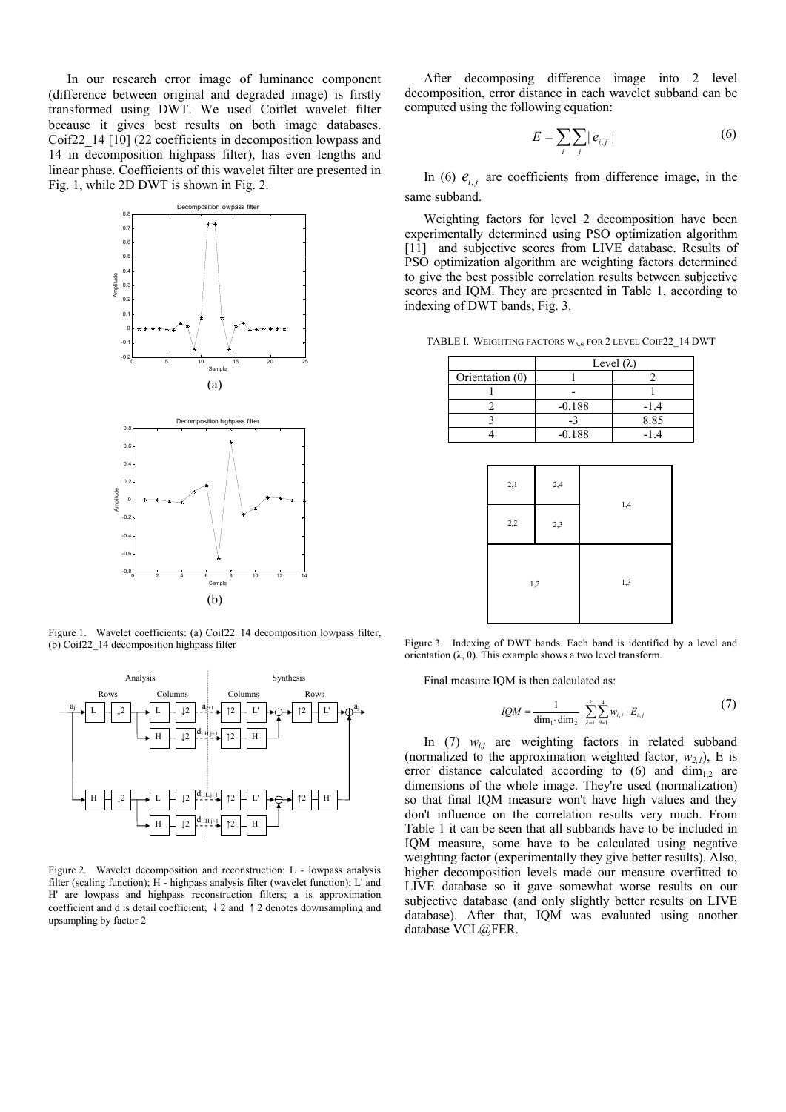In our research error image of luminance component (difference between original and degraded image) is firstly transformed using DWT. We used Coiflet wavelet filter because it gives best results on both image databases. Coif22\_14 [10] (22 coefficients in decomposition lowpass and 14 in decomposition highpass filter), has even lengths and linear phase. Coefficients of this wavelet filter are presented in Fig. 1, while 2D DWT is shown in Fig. 2.



Figure 1. Wavelet coefficients: (a) Coif22\_14 decomposition lowpass filter, (b) Coif22\_14 decomposition highpass filter



Figure 2. Wavelet decomposition and reconstruction: L - lowpass analysis filter (scaling function); H - highpass analysis filter (wavelet function); L' and H' are lowpass and highpass reconstruction filters; a is approximation coefficient and d is detail coefficient; ↓2 and ↑2 denotes downsampling and upsampling by factor 2

After decomposing difference image into 2 level decomposition, error distance in each wavelet subband can be computed using the following equation:

$$
E = \sum_{i} \sum_{j} |e_{i,j}| \tag{6}
$$

In (6)  $e_{i,j}$  are coefficients from difference image, in the same subband.

Weighting factors for level 2 decomposition have been experimentally determined using PSO optimization algorithm [11] and subjective scores from LIVE database. Results of PSO optimization algorithm are weighting factors determined to give the best possible correlation results between subjective scores and IQM. They are presented in Table 1, according to indexing of DWT bands, Fig. 3.

TABLE I. WEIGHTING FACTORS W<sub>ΛΘ</sub> FOR 2 LEVEL COIF22 14 DWT

|                        | Level $(\lambda)$ |      |
|------------------------|-------------------|------|
| Orientation $(\theta)$ |                   |      |
|                        |                   |      |
|                        | $-0.188$          | -1.4 |
|                        |                   | 8.85 |
|                        | $-0.188$          |      |

| 2,1 | 2,4 | 1,4 |
|-----|-----|-----|
| 2,2 | 2,3 |     |
| 1,2 |     | 1,3 |

Figure 3. Indexing of DWT bands. Each band is identified by a level and orientation (λ, θ). This example shows a two level transform.

Final measure IQM is then calculated as:

$$
IQM = \frac{1}{\dim_{1} \cdot \dim_{2}} \cdot \sum_{\lambda=1}^{2} \sum_{\theta=1}^{4} w_{i,j} \cdot E_{i,j}
$$
(7)

In  $(7)$   $w_{i,j}$  are weighting factors in related subband (normalized to the approximation weighted factor,  $w_{2,l}$ ), E is error distance calculated according to (6) and  $\dim_{1,2}$  are dimensions of the whole image. They're used (normalization) so that final IQM measure won't have high values and they don't influence on the correlation results very much. From Table 1 it can be seen that all subbands have to be included in IQM measure, some have to be calculated using negative weighting factor (experimentally they give better results). Also, higher decomposition levels made our measure overfitted to LIVE database so it gave somewhat worse results on our subjective database (and only slightly better results on LIVE database). After that, IQM was evaluated using another database VCL@FER.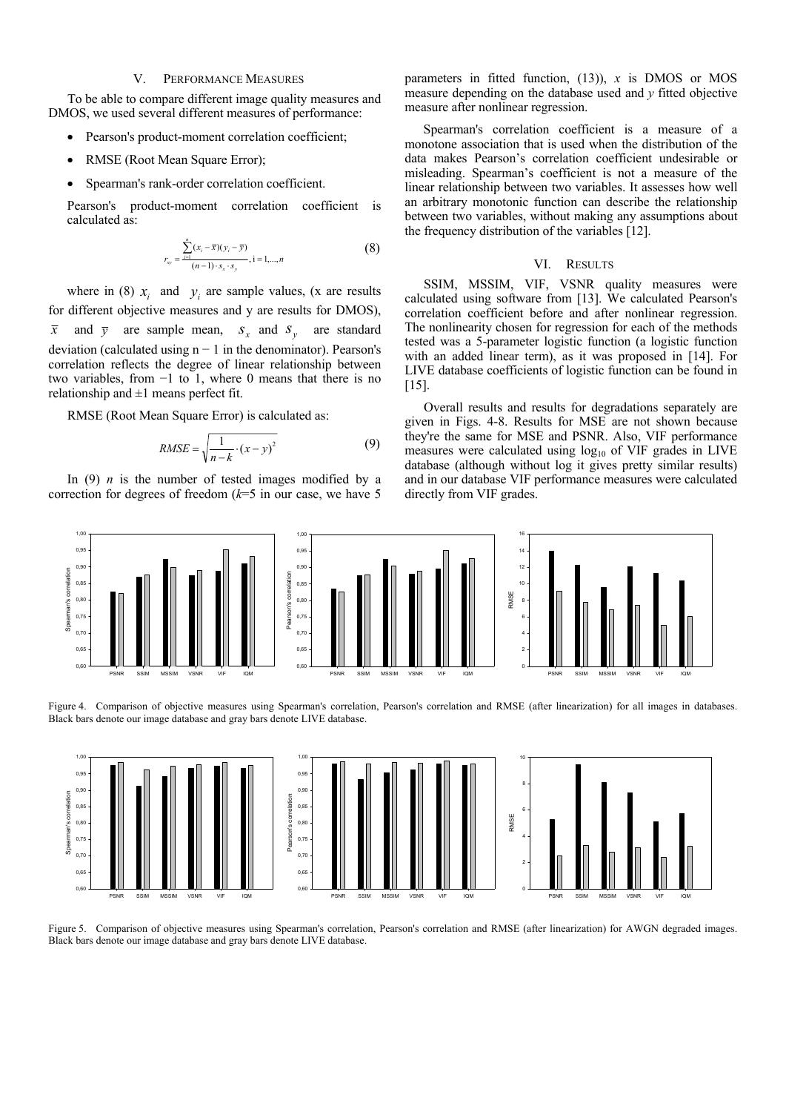## V. PERFORMANCE MEASURES

To be able to compare different image quality measures and DMOS, we used several different measures of performance:

- Pearson's product-moment correlation coefficient;
- RMSE (Root Mean Square Error);
- Spearman's rank-order correlation coefficient.

Pearson's product-moment correlation coefficient is calculated as:

$$
r_{xy} = \frac{\sum_{i=1}^{n} (x_i - \bar{x})(y_i - \bar{y})}{(n-1) \cdot s_x \cdot s_y}, i = 1,...,n
$$
 (8)

where in (8)  $x_i$  and  $y_i$  are sample values, (x are results for different objective measures and y are results for DMOS),  $\bar{x}$  and  $\bar{y}$  are sample mean,  $s_x$  and  $s_y$  are standard deviation (calculated using  $n - 1$  in the denominator). Pearson's correlation reflects the degree of linear relationship between two variables, from −1 to 1, where 0 means that there is no relationship and  $\pm 1$  means perfect fit.

RMSE (Root Mean Square Error) is calculated as:

$$
RMSE = \sqrt{\frac{1}{n-k} \cdot (x-y)^2}
$$
 (9)

In (9)  $n$  is the number of tested images modified by a correction for degrees of freedom (*k*=5 in our case, we have 5 parameters in fitted function, (13)), *x* is DMOS or MOS measure depending on the database used and *y* fitted objective measure after nonlinear regression.

Spearman's correlation coefficient is a measure of a monotone association that is used when the distribution of the data makes Pearson's correlation coefficient undesirable or misleading. Spearman's coefficient is not a measure of the linear relationship between two variables. It assesses how well an arbitrary monotonic function can describe the relationship between two variables, without making any assumptions about the frequency distribution of the variables [12].

#### VI. RESULTS

SSIM, MSSIM, VIF, VSNR quality measures were calculated using software from [13]. We calculated Pearson's correlation coefficient before and after nonlinear regression. The nonlinearity chosen for regression for each of the methods tested was a 5-parameter logistic function (a logistic function with an added linear term), as it was proposed in [14]. For LIVE database coefficients of logistic function can be found in [15].

Overall results and results for degradations separately are given in Figs. 4-8. Results for MSE are not shown because they're the same for MSE and PSNR. Also, VIF performance measures were calculated using  $log_{10}$  of VIF grades in LIVE database (although without log it gives pretty similar results) and in our database VIF performance measures were calculated directly from VIF grades.



Figure 4. Comparison of objective measures using Spearman's correlation, Pearson's correlation and RMSE (after linearization) for all images in databases. Black bars denote our image database and gray bars denote LIVE database.



Figure 5. Comparison of objective measures using Spearman's correlation, Pearson's correlation and RMSE (after linearization) for AWGN degraded images. Black bars denote our image database and gray bars denote LIVE database.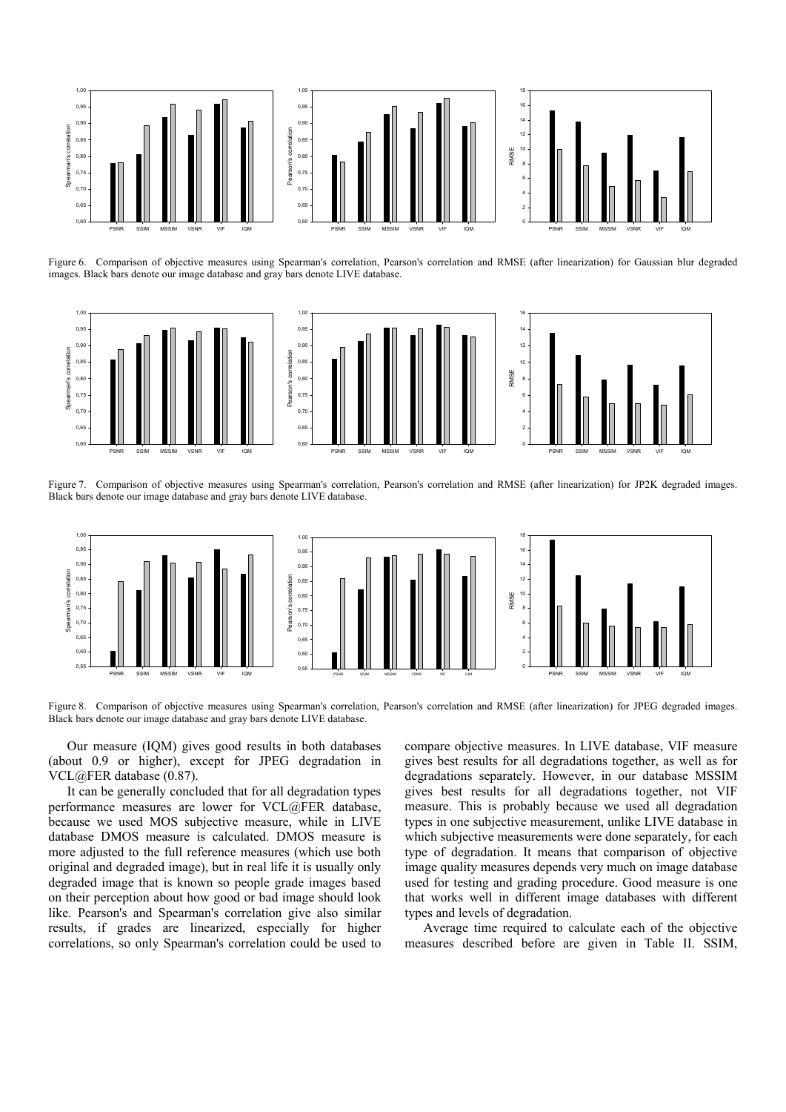

Figure 6. Comparison of objective measures using Spearman's correlation, Pearson's correlation and RMSE (after linearization) for Gaussian blur degraded images. Black bars denote our image database and gray bars denote LIVE database.



Figure 7. Comparison of objective measures using Spearman's correlation, Pearson's correlation and RMSE (after linearization) for JP2K degraded images. Black bars denote our image database and gray bars denote LIVE database.



Figure 8. Comparison of objective measures using Spearman's correlation, Pearson's correlation and RMSE (after linearization) for JPEG degraded images. Black bars denote our image database and gray bars denote LIVE database.

Our measure (IQM) gives good results in both databases (about 0.9 or higher), except for JPEG degradation in VCL@FER database (0.87).

It can be generally concluded that for all degradation types performance measures are lower for VCL@FER database, because we used MOS subjective measure, while in LIVE database DMOS measure is calculated. DMOS measure is more adjusted to the full reference measures (which use both original and degraded image), but in real life it is usually only degraded image that is known so people grade images based on their perception about how good or bad image should look like. Pearson's and Spearman's correlation give also similar results, if grades are linearized, especially for higher correlations, so only Spearman's correlation could be used to compare objective measures. In LIVE database, VIF measure gives best results for all degradations together, as well as for degradations separately. However, in our database MSSIM gives best results for all degradations together, not VIF measure. This is probably because we used all degradation types in one subjective measurement, unlike LIVE database in which subjective measurements were done separately, for each type of degradation. It means that comparison of objective image quality measures depends very much on image database used for testing and grading procedure. Good measure is one that works well in different image databases with different types and levels of degradation.

Average time required to calculate each of the objective measures described before are given in Table II. SSIM,